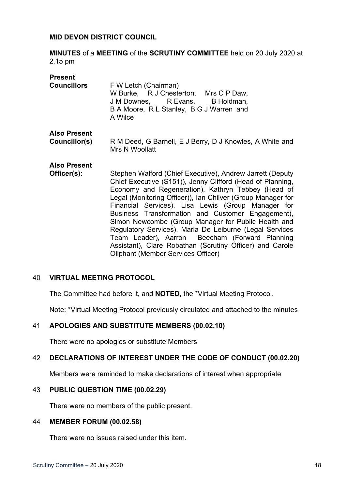## **MID DEVON DISTRICT COUNCIL**

**MINUTES** of a **MEETING** of the **SCRUTINY COMMITTEE** held on 20 July 2020 at 2.15 pm

| <b>Present</b><br><b>Councillors</b> | F W Letch (Chairman)<br>W Burke, R J Chesterton, Mrs C P Daw,<br>J M Downes, R Evans, B Holdman,<br>B A Moore, R L Stanley, B G J Warren and<br>A Wilce                                                                                                                                                                                                                                                                                                                                                                                                                                                                              |
|--------------------------------------|--------------------------------------------------------------------------------------------------------------------------------------------------------------------------------------------------------------------------------------------------------------------------------------------------------------------------------------------------------------------------------------------------------------------------------------------------------------------------------------------------------------------------------------------------------------------------------------------------------------------------------------|
| <b>Also Present</b>                  |                                                                                                                                                                                                                                                                                                                                                                                                                                                                                                                                                                                                                                      |
| Councillor(s)                        | R M Deed, G Barnell, E J Berry, D J Knowles, A White and<br>Mrs N Woollatt                                                                                                                                                                                                                                                                                                                                                                                                                                                                                                                                                           |
| <b>Also Present</b>                  |                                                                                                                                                                                                                                                                                                                                                                                                                                                                                                                                                                                                                                      |
| Officer(s):                          | Stephen Walford (Chief Executive), Andrew Jarrett (Deputy<br>Chief Executive (S151)), Jenny Clifford (Head of Planning,<br>Economy and Regeneration), Kathryn Tebbey (Head of<br>Legal (Monitoring Officer)), Ian Chilver (Group Manager for<br>Financial Services), Lisa Lewis (Group Manager for<br>Business Transformation and Customer Engagement),<br>Simon Newcombe (Group Manager for Public Health and<br>Regulatory Services), Maria De Leiburne (Legal Services<br>Team Leader), Aarron Beecham (Forward Planning<br>Assistant), Clare Robathan (Scrutiny Officer) and Carole<br><b>Oliphant (Member Services Officer)</b> |

# 40 **VIRTUAL MEETING PROTOCOL**

The Committee had before it, and **NOTED**, the \*Virtual Meeting Protocol.

Note: \*Virtual Meeting Protocol previously circulated and attached to the minutes

# 41 **APOLOGIES AND SUBSTITUTE MEMBERS (00.02.10)**

There were no apologies or substitute Members

# 42 **DECLARATIONS OF INTEREST UNDER THE CODE OF CONDUCT (00.02.20)**

Members were reminded to make declarations of interest when appropriate

#### 43 **PUBLIC QUESTION TIME (00.02.29)**

There were no members of the public present.

## 44 **MEMBER FORUM (00.02.58)**

There were no issues raised under this item.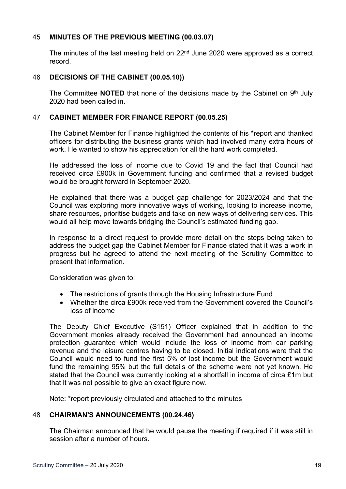# 45 **MINUTES OF THE PREVIOUS MEETING (00.03.07)**

The minutes of the last meeting held on 22<sup>nd</sup> June 2020 were approved as a correct record.

## 46 **DECISIONS OF THE CABINET (00.05.10))**

The Committee **NOTED** that none of the decisions made by the Cabinet on 9<sup>th</sup> July 2020 had been called in.

## 47 **CABINET MEMBER FOR FINANCE REPORT (00.05.25)**

The Cabinet Member for Finance highlighted the contents of his \*report and thanked officers for distributing the business grants which had involved many extra hours of work. He wanted to show his appreciation for all the hard work completed.

He addressed the loss of income due to Covid 19 and the fact that Council had received circa £900k in Government funding and confirmed that a revised budget would be brought forward in September 2020.

He explained that there was a budget gap challenge for 2023/2024 and that the Council was exploring more innovative ways of working, looking to increase income, share resources, prioritise budgets and take on new ways of delivering services. This would all help move towards bridging the Council's estimated funding gap.

In response to a direct request to provide more detail on the steps being taken to address the budget gap the Cabinet Member for Finance stated that it was a work in progress but he agreed to attend the next meeting of the Scrutiny Committee to present that information.

Consideration was given to:

- The restrictions of grants through the Housing Infrastructure Fund
- Whether the circa £900k received from the Government covered the Council's loss of income

The Deputy Chief Executive (S151) Officer explained that in addition to the Government monies already received the Government had announced an income protection guarantee which would include the loss of income from car parking revenue and the leisure centres having to be closed. Initial indications were that the Council would need to fund the first 5% of lost income but the Government would fund the remaining 95% but the full details of the scheme were not yet known. He stated that the Council was currently looking at a shortfall in income of circa £1m but that it was not possible to give an exact figure now.

Note: \*report previously circulated and attached to the minutes

# 48 **CHAIRMAN'S ANNOUNCEMENTS (00.24.46)**

The Chairman announced that he would pause the meeting if required if it was still in session after a number of hours.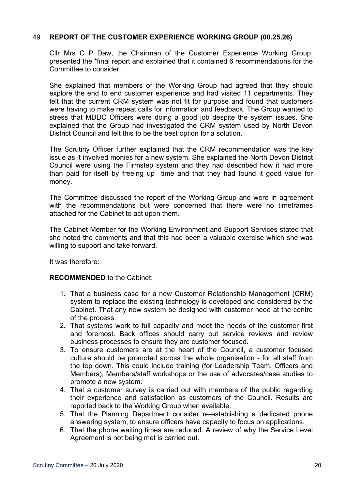# 49 **REPORT OF THE CUSTOMER EXPERIENCE WORKING GROUP (00.25.26)**

Cllr Mrs C P Daw, the Chairman of the Customer Experience Working Group, presented the \*final report and explained that it contained 6 recommendations for the Committee to consider.

She explained that members of the Working Group had agreed that they should explore the end to end customer experience and had visited 11 departments. They felt that the current CRM system was not fit for purpose and found that customers were having to make repeat calls for information and feedback. The Group wanted to stress that MDDC Officers were doing a good job despite the system issues. She explained that the Group had investigated the CRM system used by North Devon District Council and felt this to be the best option for a solution.

The Scrutiny Officer further explained that the CRM recommendation was the key issue as it involved monies for a new system. She explained the North Devon District Council were using the Firmstep system and they had described how it had more than paid for itself by freeing up time and that they had found it good value for money.

The Committee discussed the report of the Working Group and were in agreement with the recommendations but were concerned that there were no timeframes attached for the Cabinet to act upon them.

The Cabinet Member for the Working Environment and Support Services stated that she noted the comments and that this had been a valuable exercise which she was willing to support and take forward.

It was therefore:

# **RECOMMENDED** to the Cabinet:

- 1. That a business case for a new Customer Relationship Management (CRM) system to replace the existing technology is developed and considered by the Cabinet. That any new system be designed with customer need at the centre of the process.
- 2. That systems work to full capacity and meet the needs of the customer first and foremost. Back offices should carry out service reviews and review business processes to ensure they are customer focused.
- 3. To ensure customers are at the heart of the Council, a customer focused culture should be promoted across the whole organisation - for all staff from the top down. This could include training (for Leadership Team, Officers and Members), Members/staff workshops or the use of advocates/case studies to promote a new system.
- 4. That a customer survey is carried out with members of the public regarding their experience and satisfaction as customers of the Council. Results are reported back to the Working Group when available.
- 5. That the Planning Department consider re-establishing a dedicated phone answering system, to ensure officers have capacity to focus on applications.
- 6. That the phone waiting times are reduced. A review of why the Service Level Agreement is not being met is carried out.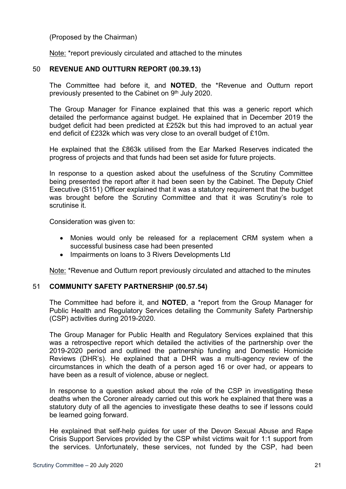(Proposed by the Chairman)

Note: \*report previously circulated and attached to the minutes

# 50 **REVENUE AND OUTTURN REPORT (00.39.13)**

The Committee had before it, and **NOTED**, the \*Revenue and Outturn report previously presented to the Cabinet on 9<sup>th</sup> July 2020.

The Group Manager for Finance explained that this was a generic report which detailed the performance against budget. He explained that in December 2019 the budget deficit had been predicted at £252k but this had improved to an actual year end deficit of £232k which was very close to an overall budget of £10m.

He explained that the £863k utilised from the Ear Marked Reserves indicated the progress of projects and that funds had been set aside for future projects.

In response to a question asked about the usefulness of the Scrutiny Committee being presented the report after it had been seen by the Cabinet. The Deputy Chief Executive (S151) Officer explained that it was a statutory requirement that the budget was brought before the Scrutiny Committee and that it was Scrutiny's role to scrutinise it.

Consideration was given to:

- Monies would only be released for a replacement CRM system when a successful business case had been presented
- Impairments on loans to 3 Rivers Developments Ltd

Note: \*Revenue and Outturn report previously circulated and attached to the minutes

# 51 **COMMUNITY SAFETY PARTNERSHIP (00.57.54)**

The Committee had before it, and **NOTED**, a \*report from the Group Manager for Public Health and Regulatory Services detailing the Community Safety Partnership (CSP) activities during 2019-2020.

The Group Manager for Public Health and Regulatory Services explained that this was a retrospective report which detailed the activities of the partnership over the 2019-2020 period and outlined the partnership funding and Domestic Homicide Reviews (DHR's). He explained that a DHR was a multi-agency review of the circumstances in which the death of a person aged 16 or over had, or appears to have been as a result of violence, abuse or neglect.

In response to a question asked about the role of the CSP in investigating these deaths when the Coroner already carried out this work he explained that there was a statutory duty of all the agencies to investigate these deaths to see if lessons could be learned going forward.

He explained that self-help guides for user of the Devon Sexual Abuse and Rape Crisis Support Services provided by the CSP whilst victims wait for 1:1 support from the services. Unfortunately, these services, not funded by the CSP, had been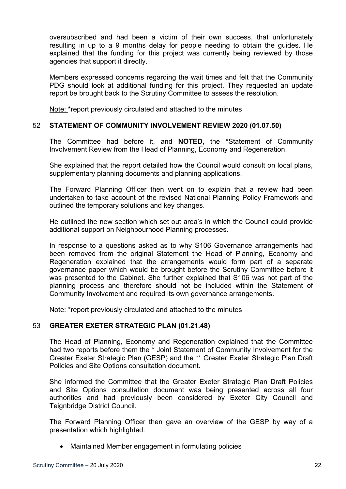oversubscribed and had been a victim of their own success, that unfortunately resulting in up to a 9 months delay for people needing to obtain the guides. He explained that the funding for this project was currently being reviewed by those agencies that support it directly.

Members expressed concerns regarding the wait times and felt that the Community PDG should look at additional funding for this project. They requested an update report be brought back to the Scrutiny Committee to assess the resolution.

Note: \*report previously circulated and attached to the minutes

# 52 **STATEMENT OF COMMUNITY INVOLVEMENT REVIEW 2020 (01.07.50)**

The Committee had before it, and **NOTED**, the \*Statement of Community Involvement Review from the Head of Planning, Economy and Regeneration.

She explained that the report detailed how the Council would consult on local plans, supplementary planning documents and planning applications.

The Forward Planning Officer then went on to explain that a review had been undertaken to take account of the revised National Planning Policy Framework and outlined the temporary solutions and key changes.

He outlined the new section which set out area's in which the Council could provide additional support on Neighbourhood Planning processes.

In response to a questions asked as to why S106 Governance arrangements had been removed from the original Statement the Head of Planning, Economy and Regeneration explained that the arrangements would form part of a separate governance paper which would be brought before the Scrutiny Committee before it was presented to the Cabinet. She further explained that S106 was not part of the planning process and therefore should not be included within the Statement of Community Involvement and required its own governance arrangements.

Note: \*report previously circulated and attached to the minutes

# 53 **GREATER EXETER STRATEGIC PLAN (01.21.48)**

The Head of Planning, Economy and Regeneration explained that the Committee had two reports before them the \* Joint Statement of Community Involvement for the Greater Exeter Strategic Plan (GESP) and the \*\* Greater Exeter Strategic Plan Draft Policies and Site Options consultation document.

She informed the Committee that the Greater Exeter Strategic Plan Draft Policies and Site Options consultation document was being presented across all four authorities and had previously been considered by Exeter City Council and Teignbridge District Council.

The Forward Planning Officer then gave an overview of the GESP by way of a presentation which highlighted:

Maintained Member engagement in formulating policies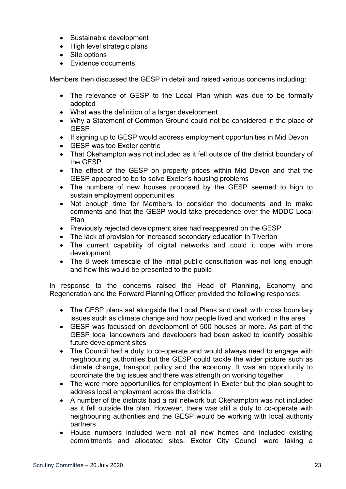- Sustainable development
- High level strategic plans
- Site options
- Evidence documents

Members then discussed the GESP in detail and raised various concerns including:

- The relevance of GESP to the Local Plan which was due to be formally adopted
- What was the definition of a larger development
- Why a Statement of Common Ground could not be considered in the place of GESP
- If signing up to GESP would address employment opportunities in Mid Devon
- GESP was too Exeter centric
- That Okehampton was not included as it fell outside of the district boundary of the GESP
- The effect of the GESP on property prices within Mid Devon and that the GESP appeared to be to solve Exeter's housing problems
- The numbers of new houses proposed by the GESP seemed to high to sustain employment opportunities
- Not enough time for Members to consider the documents and to make comments and that the GESP would take precedence over the MDDC Local Plan
- Previously rejected development sites had reappeared on the GESP
- The lack of provision for increased secondary education in Tiverton
- The current capability of digital networks and could it cope with more development
- The 8 week timescale of the initial public consultation was not long enough and how this would be presented to the public

In response to the concerns raised the Head of Planning, Economy and Regeneration and the Forward Planning Officer provided the following responses:

- The GESP plans sat alongside the Local Plans and dealt with cross boundary issues such as climate change and how people lived and worked in the area
- GESP was focussed on development of 500 houses or more. As part of the GESP local landowners and developers had been asked to identify possible future development sites
- The Council had a duty to co-operate and would always need to engage with neighbouring authorities but the GESP could tackle the wider picture such as climate change, transport policy and the economy. It was an opportunity to coordinate the big issues and there was strength on working together
- The were more opportunities for employment in Exeter but the plan sought to address local employment across the districts
- A number of the districts had a rail network but Okehampton was not included as it fell outside the plan. However, there was still a duty to co-operate with neighbouring authorities and the GESP would be working with local authority partners
- House numbers included were not all new homes and included existing commitments and allocated sites. Exeter City Council were taking a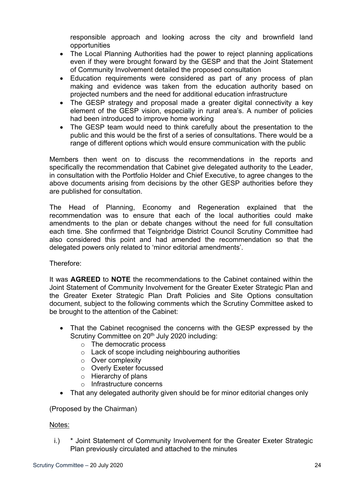responsible approach and looking across the city and brownfield land opportunities

- The Local Planning Authorities had the power to reject planning applications even if they were brought forward by the GESP and that the Joint Statement of Community Involvement detailed the proposed consultation
- Education requirements were considered as part of any process of plan making and evidence was taken from the education authority based on projected numbers and the need for additional education infrastructure
- The GESP strategy and proposal made a greater digital connectivity a key element of the GESP vision, especially in rural area's. A number of policies had been introduced to improve home working
- The GESP team would need to think carefully about the presentation to the public and this would be the first of a series of consultations. There would be a range of different options which would ensure communication with the public

Members then went on to discuss the recommendations in the reports and specifically the recommendation that Cabinet give delegated authority to the Leader, in consultation with the Portfolio Holder and Chief Executive, to agree changes to the above documents arising from decisions by the other GESP authorities before they are published for consultation.

The Head of Planning, Economy and Regeneration explained that the recommendation was to ensure that each of the local authorities could make amendments to the plan or debate changes without the need for full consultation each time. She confirmed that Teignbridge District Council Scrutiny Committee had also considered this point and had amended the recommendation so that the delegated powers only related to 'minor editorial amendments'.

Therefore:

It was **AGREED** to **NOTE** the recommendations to the Cabinet contained within the Joint Statement of Community Involvement for the Greater Exeter Strategic Plan and the Greater Exeter Strategic Plan Draft Policies and Site Options consultation document, subject to the following comments which the Scrutiny Committee asked to be brought to the attention of the Cabinet:

- That the Cabinet recognised the concerns with the GESP expressed by the Scrutiny Committee on 20<sup>th</sup> July 2020 including:
	- o The democratic process
	- o Lack of scope including neighbouring authorities
	- o Over complexity
	- o Overly Exeter focussed
	- o Hierarchy of plans
	- o Infrastructure concerns
- That any delegated authority given should be for minor editorial changes only

(Proposed by the Chairman)

# Notes:

i.) \* Joint Statement of Community Involvement for the Greater Exeter Strategic Plan previously circulated and attached to the minutes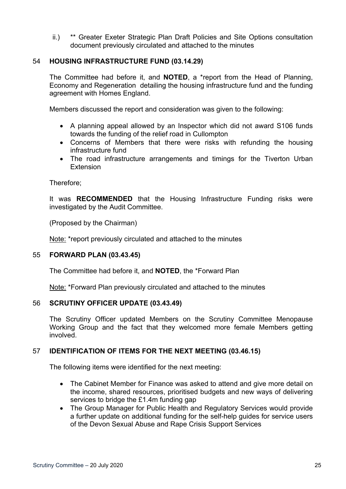ii.) \*\* Greater Exeter Strategic Plan Draft Policies and Site Options consultation document previously circulated and attached to the minutes

# 54 **HOUSING INFRASTRUCTURE FUND (03.14.29)**

The Committee had before it, and **NOTED**, a \*report from the Head of Planning, Economy and Regeneration detailing the housing infrastructure fund and the funding agreement with Homes England.

Members discussed the report and consideration was given to the following:

- A planning appeal allowed by an Inspector which did not award S106 funds towards the funding of the relief road in Cullompton
- Concerns of Members that there were risks with refunding the housing infrastructure fund
- The road infrastructure arrangements and timings for the Tiverton Urban **Extension**

Therefore;

It was **RECOMMENDED** that the Housing Infrastructure Funding risks were investigated by the Audit Committee.

(Proposed by the Chairman)

Note: \*report previously circulated and attached to the minutes

#### 55 **FORWARD PLAN (03.43.45)**

The Committee had before it, and **NOTED**, the \*Forward Plan

Note: \*Forward Plan previously circulated and attached to the minutes

#### 56 **SCRUTINY OFFICER UPDATE (03.43.49)**

The Scrutiny Officer updated Members on the Scrutiny Committee Menopause Working Group and the fact that they welcomed more female Members getting involved.

# 57 **IDENTIFICATION OF ITEMS FOR THE NEXT MEETING (03.46.15)**

The following items were identified for the next meeting:

- The Cabinet Member for Finance was asked to attend and give more detail on the income, shared resources, prioritised budgets and new ways of delivering services to bridge the £1.4m funding gap
- The Group Manager for Public Health and Regulatory Services would provide a further update on additional funding for the self-help guides for service users of the Devon Sexual Abuse and Rape Crisis Support Services